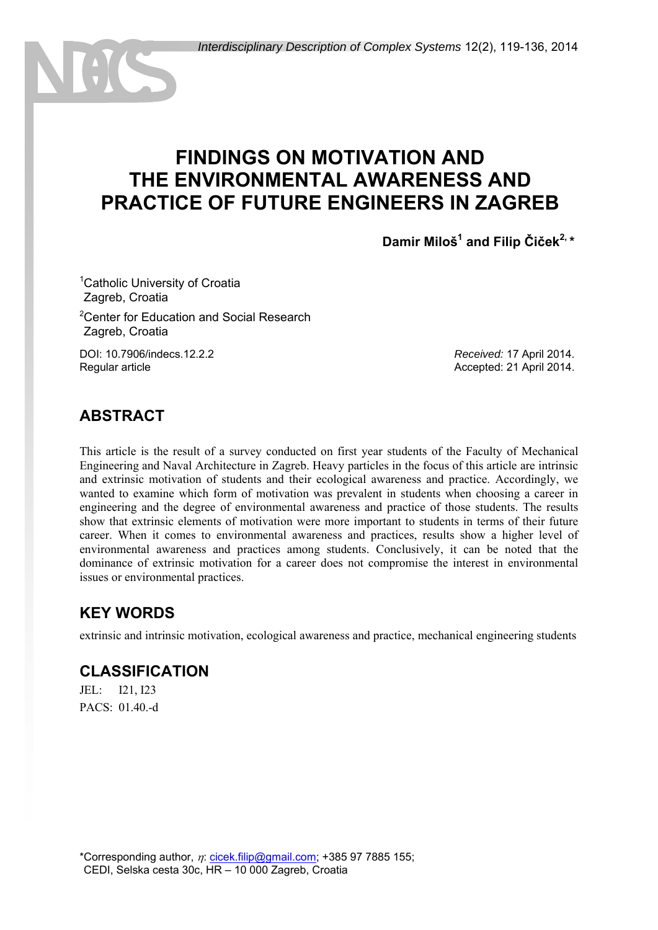# **FINDINGS ON MOTIVATION AND THE ENVIRONMENTAL AWARENESS AND PRACTICE OF FUTURE ENGINEERS IN ZAGREB**

**Damir Miloš1 and Filip Čiček2, \***

<sup>1</sup> Catholic University of Croatia Zagreb, Croatia

<sup>2</sup> Center for Education and Social Research Zagreb, Croatia

DOI: 10.7906/indecs.12.2.2 Regular article

*Received:* 17 April 2014. Accepted: 21 April 2014.

### **ABSTRACT**

This article is the result of a survey conducted on first year students of the Faculty of Mechanical Engineering and Naval Architecture in Zagreb. Heavy particles in the focus of this article are intrinsic and extrinsic motivation of students and their ecological awareness and practice. Accordingly, we wanted to examine which form of motivation was prevalent in students when choosing a career in engineering and the degree of environmental awareness and practice of those students. The results show that extrinsic elements of motivation were more important to students in terms of their future career. When it comes to environmental awareness and practices, results show a higher level of environmental awareness and practices among students. Conclusively, it can be noted that the dominance of extrinsic motivation for a career does not compromise the interest in environmental issues or environmental practices.

### **KEY WORDS**

extrinsic and intrinsic motivation, ecological awareness and practice, mechanical engineering students

## **CLASSIFICATION**

JEL: I21, I23 PACS: 01.40.-d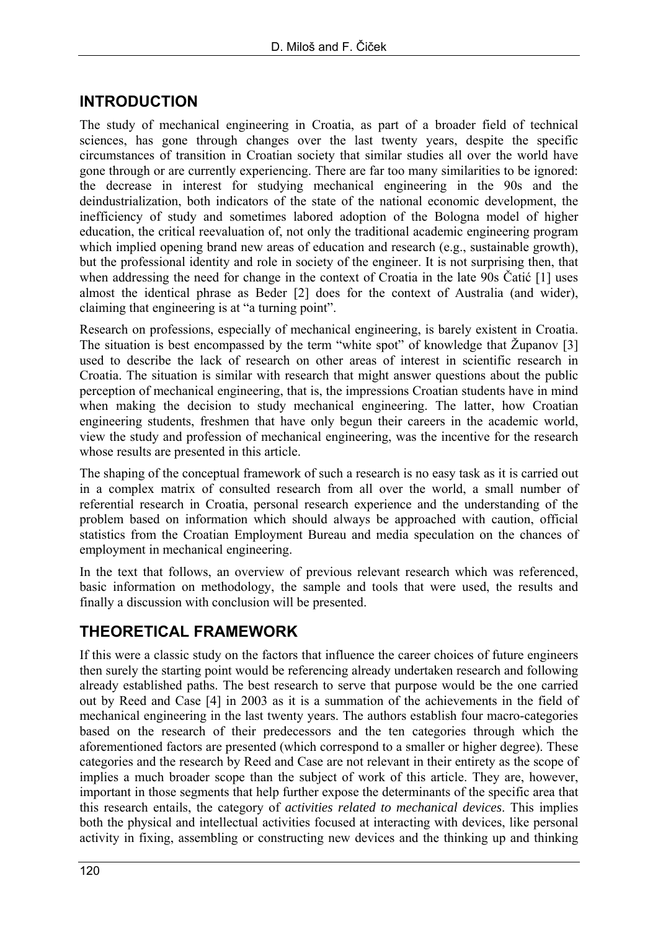### **INTRODUCTION**

The study of mechanical engineering in Croatia, as part of a broader field of technical sciences, has gone through changes over the last twenty years, despite the specific circumstances of transition in Croatian society that similar studies all over the world have gone through or are currently experiencing. There are far too many similarities to be ignored: the decrease in interest for studying mechanical engineering in the 90s and the deindustrialization, both indicators of the state of the national economic development, the inefficiency of study and sometimes labored adoption of the Bologna model of higher education, the critical reevaluation of, not only the traditional academic engineering program which implied opening brand new areas of education and research (e.g., sustainable growth), but the professional identity and role in society of the engineer. It is not surprising then, that when addressing the need for change in the context of Croatia in the late 90s Čatić [1] uses almost the identical phrase as Beder [2] does for the context of Australia (and wider), claiming that engineering is at "a turning point".

Research on professions, especially of mechanical engineering, is barely existent in Croatia. The situation is best encompassed by the term "white spot" of knowledge that Županov [3] used to describe the lack of research on other areas of interest in scientific research in Croatia. The situation is similar with research that might answer questions about the public perception of mechanical engineering, that is, the impressions Croatian students have in mind when making the decision to study mechanical engineering. The latter, how Croatian engineering students, freshmen that have only begun their careers in the academic world, view the study and profession of mechanical engineering, was the incentive for the research whose results are presented in this article.

The shaping of the conceptual framework of such a research is no easy task as it is carried out in a complex matrix of consulted research from all over the world, a small number of referential research in Croatia, personal research experience and the understanding of the problem based on information which should always be approached with caution, official statistics from the Croatian Employment Bureau and media speculation on the chances of employment in mechanical engineering.

In the text that follows, an overview of previous relevant research which was referenced, basic information on methodology, the sample and tools that were used, the results and finally a discussion with conclusion will be presented.

## **THEORETICAL FRAMEWORK**

If this were a classic study on the factors that influence the career choices of future engineers then surely the starting point would be referencing already undertaken research and following already established paths. The best research to serve that purpose would be the one carried out by Reed and Case [4] in 2003 as it is a summation of the achievements in the field of mechanical engineering in the last twenty years. The authors establish four macro-categories based on the research of their predecessors and the ten categories through which the aforementioned factors are presented (which correspond to a smaller or higher degree). These categories and the research by Reed and Case are not relevant in their entirety as the scope of implies a much broader scope than the subject of work of this article. They are, however, important in those segments that help further expose the determinants of the specific area that this research entails, the category of *activities related to mechanical devices*. This implies both the physical and intellectual activities focused at interacting with devices, like personal activity in fixing, assembling or constructing new devices and the thinking up and thinking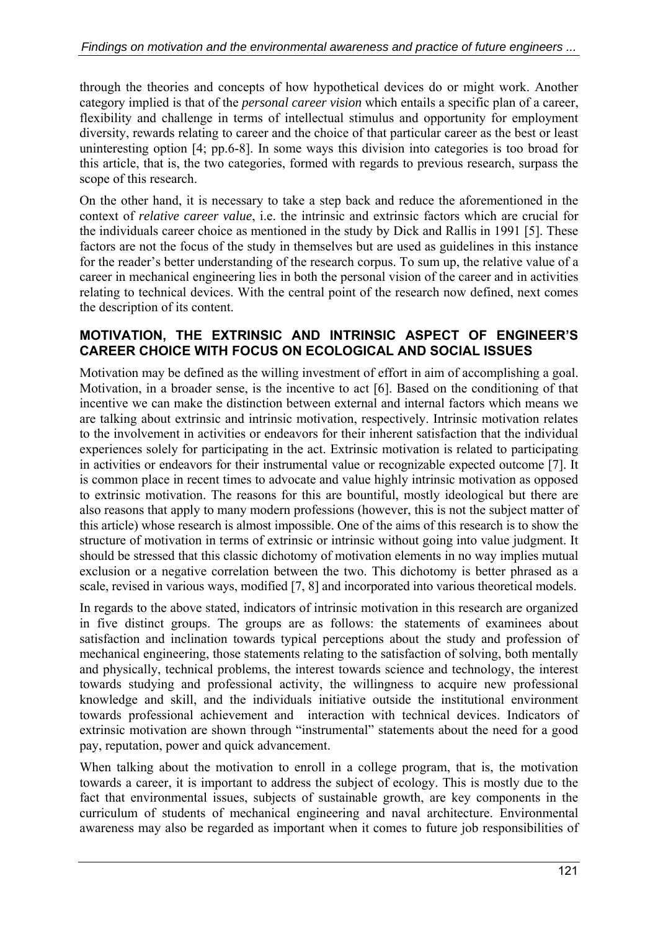through the theories and concepts of how hypothetical devices do or might work. Another category implied is that of the *personal career vision* which entails a specific plan of a career, flexibility and challenge in terms of intellectual stimulus and opportunity for employment diversity, rewards relating to career and the choice of that particular career as the best or least uninteresting option [4; pp.6-8]. In some ways this division into categories is too broad for this article, that is, the two categories, formed with regards to previous research, surpass the scope of this research.

On the other hand, it is necessary to take a step back and reduce the aforementioned in the context of *relative career value*, i.e. the intrinsic and extrinsic factors which are crucial for the individuals career choice as mentioned in the study by Dick and Rallis in 1991 [5]. These factors are not the focus of the study in themselves but are used as guidelines in this instance for the reader's better understanding of the research corpus. To sum up, the relative value of a career in mechanical engineering lies in both the personal vision of the career and in activities relating to technical devices. With the central point of the research now defined, next comes the description of its content.

#### **MOTIVATION, THE EXTRINSIC AND INTRINSIC ASPECT OF ENGINEER'S CAREER CHOICE WITH FOCUS ON ECOLOGICAL AND SOCIAL ISSUES**

Motivation may be defined as the willing investment of effort in aim of accomplishing a goal. Motivation, in a broader sense, is the incentive to act [6]. Based on the conditioning of that incentive we can make the distinction between external and internal factors which means we are talking about extrinsic and intrinsic motivation, respectively. Intrinsic motivation relates to the involvement in activities or endeavors for their inherent satisfaction that the individual experiences solely for participating in the act. Extrinsic motivation is related to participating in activities or endeavors for their instrumental value or recognizable expected outcome [7]. It is common place in recent times to advocate and value highly intrinsic motivation as opposed to extrinsic motivation. The reasons for this are bountiful, mostly ideological but there are also reasons that apply to many modern professions (however, this is not the subject matter of this article) whose research is almost impossible. One of the aims of this research is to show the structure of motivation in terms of extrinsic or intrinsic without going into value judgment. It should be stressed that this classic dichotomy of motivation elements in no way implies mutual exclusion or a negative correlation between the two. This dichotomy is better phrased as a scale, revised in various ways, modified [7, 8] and incorporated into various theoretical models.

In regards to the above stated, indicators of intrinsic motivation in this research are organized in five distinct groups. The groups are as follows: the statements of examinees about satisfaction and inclination towards typical perceptions about the study and profession of mechanical engineering, those statements relating to the satisfaction of solving, both mentally and physically, technical problems, the interest towards science and technology, the interest towards studying and professional activity, the willingness to acquire new professional knowledge and skill, and the individuals initiative outside the institutional environment towards professional achievement and interaction with technical devices. Indicators of extrinsic motivation are shown through "instrumental" statements about the need for a good pay, reputation, power and quick advancement.

When talking about the motivation to enroll in a college program, that is, the motivation towards a career, it is important to address the subject of ecology. This is mostly due to the fact that environmental issues, subjects of sustainable growth, are key components in the curriculum of students of mechanical engineering and naval architecture. Environmental awareness may also be regarded as important when it comes to future job responsibilities of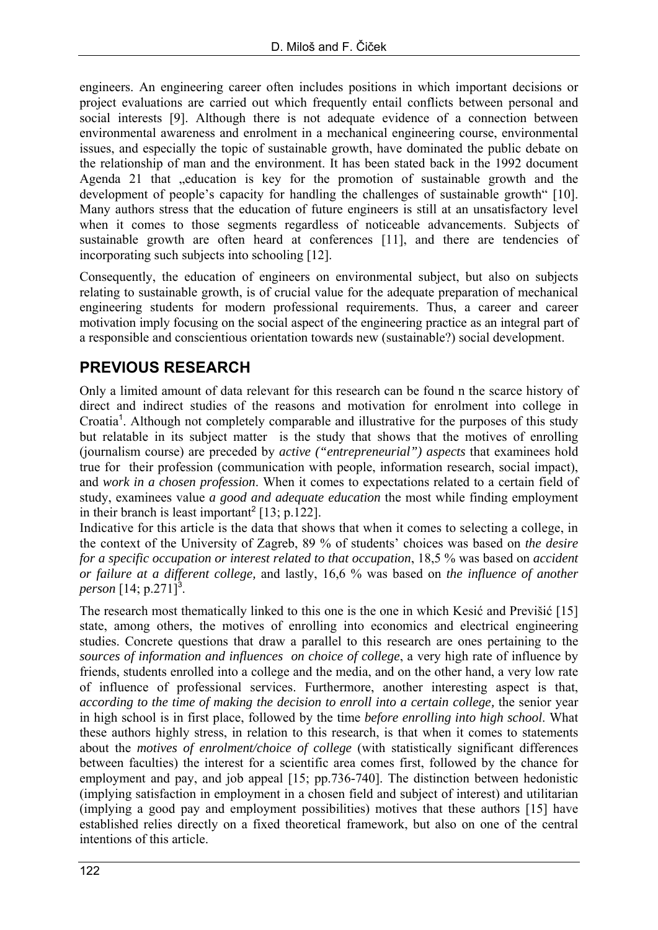engineers. An engineering career often includes positions in which important decisions or project evaluations are carried out which frequently entail conflicts between personal and social interests [9]. Although there is not adequate evidence of a connection between environmental awareness and enrolment in a mechanical engineering course, environmental issues, and especially the topic of sustainable growth, have dominated the public debate on the relationship of man and the environment. It has been stated back in the 1992 document Agenda 21 that , education is key for the promotion of sustainable growth and the development of people's capacity for handling the challenges of sustainable growth" [10]. Many authors stress that the education of future engineers is still at an unsatisfactory level when it comes to those segments regardless of noticeable advancements. Subjects of sustainable growth are often heard at conferences [11], and there are tendencies of incorporating such subjects into schooling [12].

Consequently, the education of engineers on environmental subject, but also on subjects relating to sustainable growth, is of crucial value for the adequate preparation of mechanical engineering students for modern professional requirements. Thus, a career and career motivation imply focusing on the social aspect of the engineering practice as an integral part of a responsible and conscientious orientation towards new (sustainable?) social development.

## **PREVIOUS RESEARCH**

Only a limited amount of data relevant for this research can be found n the scarce history of direct and indirect studies of the reasons and motivation for enrolment into college in Croatia<sup>1</sup>. Although not completely comparable and illustrative for the purposes of this study but relatable in its subject matter is the study that shows that the motives of enrolling (journalism course) are preceded by *active ("entrepreneurial") aspects* that examinees hold true for their profession (communication with people, information research, social impact), and *work in a chosen profession*. When it comes to expectations related to a certain field of study, examinees value *a good and adequate education* the most while finding employment in their branch is least important<sup>2</sup> [13; p.122].

Indicative for this article is the data that shows that when it comes to selecting a college, in the context of the University of Zagreb, 89 % of students' choices was based on *the desire for a specific occupation or interest related to that occupation*, 18,5 % was based on *accident or failure at a different college,* and lastly, 16,6 % was based on *the influence of another person* [14; p.271]<sup>3</sup>.

The research most thematically linked to this one is the one in which Kesić and Previšić [15] state, among others, the motives of enrolling into economics and electrical engineering studies. Concrete questions that draw a parallel to this research are ones pertaining to the *sources of information and influences on choice of college*, a very high rate of influence by friends, students enrolled into a college and the media, and on the other hand, a very low rate of influence of professional services. Furthermore, another interesting aspect is that, *according to the time of making the decision to enroll into a certain college,* the senior year in high school is in first place, followed by the time *before enrolling into high school*. What these authors highly stress, in relation to this research, is that when it comes to statements about the *motives of enrolment/choice of college* (with statistically significant differences between faculties) the interest for a scientific area comes first, followed by the chance for employment and pay, and job appeal [15; pp.736-740]. The distinction between hedonistic (implying satisfaction in employment in a chosen field and subject of interest) and utilitarian (implying a good pay and employment possibilities) motives that these authors [15] have established relies directly on a fixed theoretical framework, but also on one of the central intentions of this article.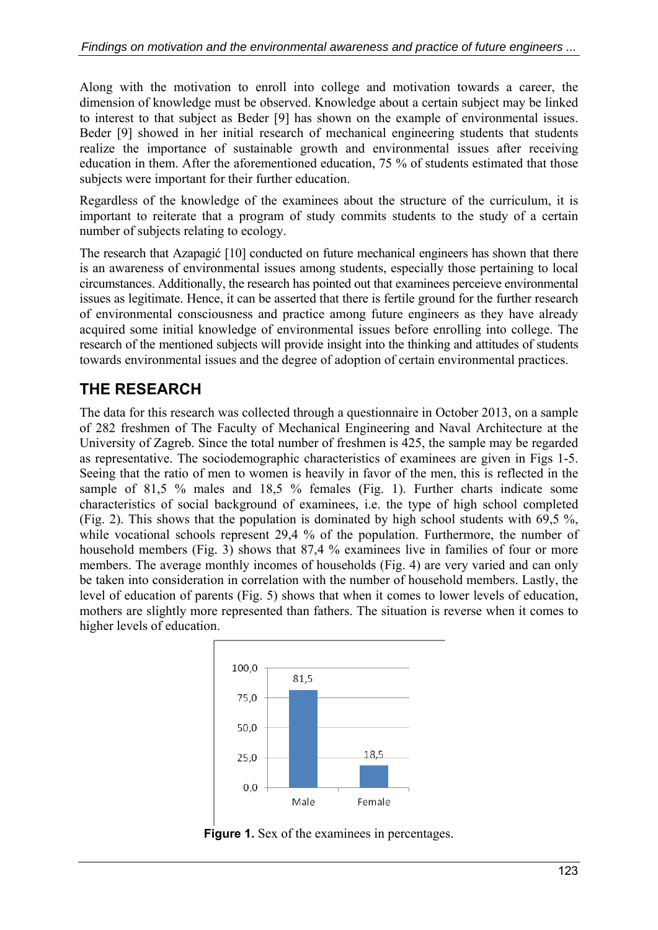Along with the motivation to enroll into college and motivation towards a career, the dimension of knowledge must be observed. Knowledge about a certain subject may be linked to interest to that subject as Beder [9] has shown on the example of environmental issues. Beder [9] showed in her initial research of mechanical engineering students that students realize the importance of sustainable growth and environmental issues after receiving education in them. After the aforementioned education, 75 % of students estimated that those subjects were important for their further education.

Regardless of the knowledge of the examinees about the structure of the curriculum, it is important to reiterate that a program of study commits students to the study of a certain number of subjects relating to ecology.

The research that Azapagić [10] conducted on future mechanical engineers has shown that there is an awareness of environmental issues among students, especially those pertaining to local circumstances. Additionally, the research has pointed out that examinees perceieve environmental issues as legitimate. Hence, it can be asserted that there is fertile ground for the further research of environmental consciousness and practice among future engineers as they have already acquired some initial knowledge of environmental issues before enrolling into college. The research of the mentioned subjects will provide insight into the thinking and attitudes of students towards environmental issues and the degree of adoption of certain environmental practices.

## **THE RESEARCH**

The data for this research was collected through a questionnaire in October 2013, on a sample of 282 freshmen of The Faculty of Mechanical Engineering and Naval Architecture at the University of Zagreb. Since the total number of freshmen is 425, the sample may be regarded as representative. The sociodemographic characteristics of examinees are given in Figs 1-5. Seeing that the ratio of men to women is heavily in favor of the men, this is reflected in the sample of 81,5 % males and 18,5 % females (Fig. 1). Further charts indicate some characteristics of social background of examinees, i.e. the type of high school completed (Fig. 2). This shows that the population is dominated by high school students with 69,5 %, while vocational schools represent 29,4 % of the population. Furthermore, the number of household members (Fig. 3) shows that 87,4 % examinees live in families of four or more members. The average monthly incomes of households (Fig. 4) are very varied and can only be taken into consideration in correlation with the number of household members. Lastly, the level of education of parents (Fig. 5) shows that when it comes to lower levels of education, mothers are slightly more represented than fathers. The situation is reverse when it comes to higher levels of education.



**Figure 1.** Sex of the examinees in percentages.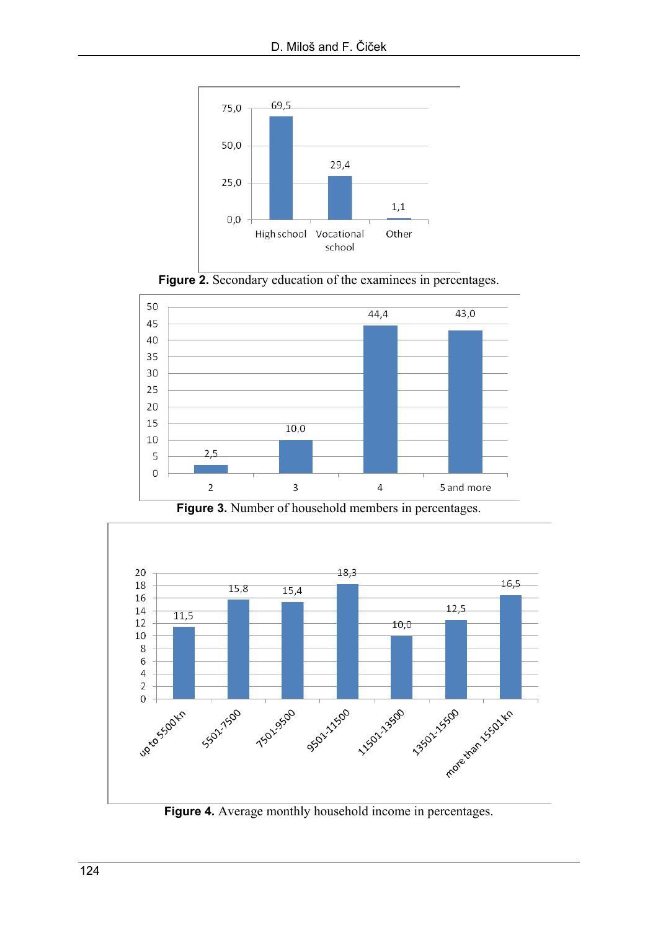





Figure 3. Number of household members in percentages.



**Figure 4.** Average monthly household income in percentages.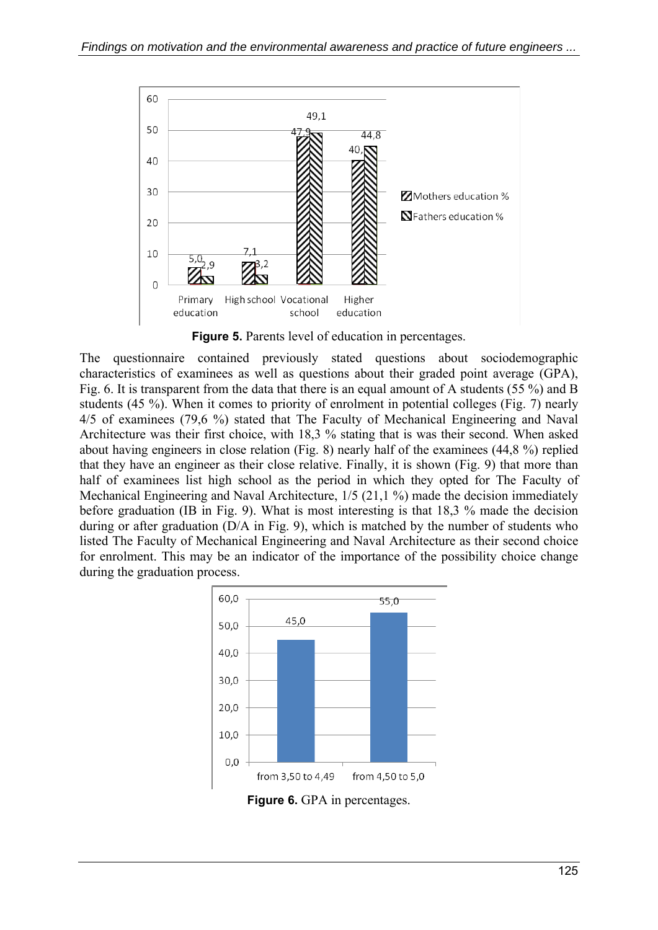

**Figure 5.** Parents level of education in percentages.

The questionnaire contained previously stated questions about sociodemographic characteristics of examinees as well as questions about their graded point average (GPA), Fig. 6. It is transparent from the data that there is an equal amount of A students (55 %) and B students (45 %). When it comes to priority of enrolment in potential colleges (Fig. 7) nearly 4/5 of examinees (79,6 %) stated that The Faculty of Mechanical Engineering and Naval Architecture was their first choice, with 18,3 % stating that is was their second. When asked about having engineers in close relation (Fig. 8) nearly half of the examinees (44,8 %) replied that they have an engineer as their close relative. Finally, it is shown (Fig. 9) that more than half of examinees list high school as the period in which they opted for The Faculty of Mechanical Engineering and Naval Architecture, 1/5 (21,1 %) made the decision immediately before graduation (IB in Fig. 9). What is most interesting is that 18,3 % made the decision during or after graduation (D/A in Fig. 9), which is matched by the number of students who listed The Faculty of Mechanical Engineering and Naval Architecture as their second choice for enrolment. This may be an indicator of the importance of the possibility choice change during the graduation process.



**Figure 6.** GPA in percentages.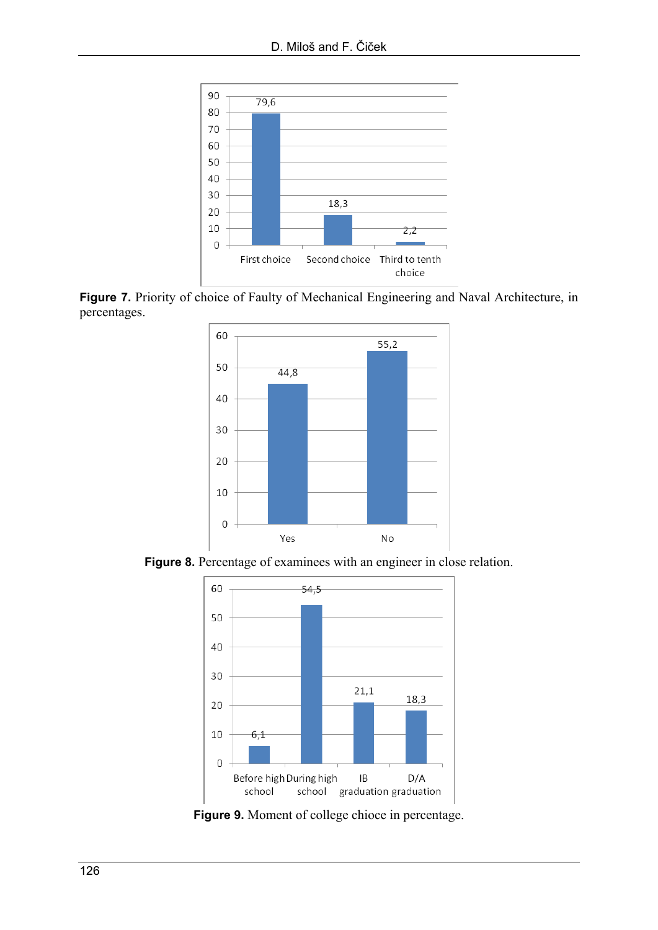

Figure 7. Priority of choice of Faulty of Mechanical Engineering and Naval Architecture, in percentages.



**Figure 8.** Percentage of examinees with an engineer in close relation.



**Figure 9.** Moment of college chioce in percentage.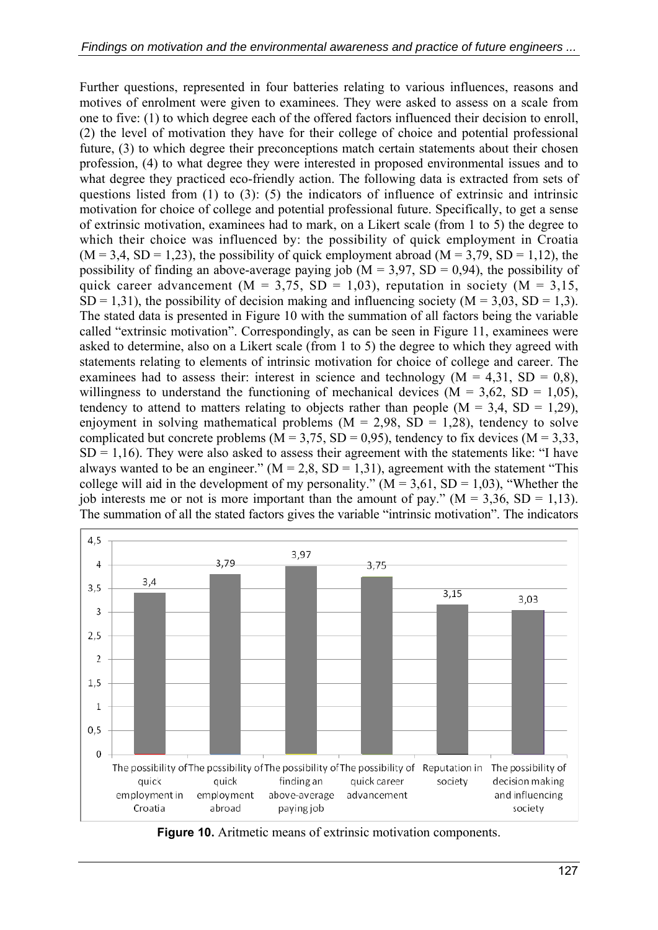Further questions, represented in four batteries relating to various influences, reasons and motives of enrolment were given to examinees. They were asked to assess on a scale from one to five: (1) to which degree each of the offered factors influenced their decision to enroll, (2) the level of motivation they have for their college of choice and potential professional future, (3) to which degree their preconceptions match certain statements about their chosen profession, (4) to what degree they were interested in proposed environmental issues and to what degree they practiced eco-friendly action. The following data is extracted from sets of questions listed from (1) to (3): (5) the indicators of influence of extrinsic and intrinsic motivation for choice of college and potential professional future. Specifically, to get a sense of extrinsic motivation, examinees had to mark, on a Likert scale (from 1 to 5) the degree to which their choice was influenced by: the possibility of quick employment in Croatia  $(M = 3,4, SD = 1,23)$ , the possibility of quick employment abroad  $(M = 3,79, SD = 1,12)$ , the possibility of finding an above-average paying job ( $M = 3.97$ ,  $SD = 0.94$ ), the possibility of quick career advancement (M =  $3.75$ , SD = 1,03), reputation in society (M = 3,15,  $SD = 1,31$ , the possibility of decision making and influencing society (M = 3,03, SD = 1,3). The stated data is presented in Figure 10 with the summation of all factors being the variable called "extrinsic motivation". Correspondingly, as can be seen in Figure 11, examinees were asked to determine, also on a Likert scale (from 1 to 5) the degree to which they agreed with statements relating to elements of intrinsic motivation for choice of college and career. The examinees had to assess their: interest in science and technology ( $M = 4.31$ ,  $SD = 0.8$ ), willingness to understand the functioning of mechanical devices ( $M = 3.62$ ,  $SD = 1.05$ ), tendency to attend to matters relating to objects rather than people  $(M = 3.4, SD = 1.29)$ , enjoyment in solving mathematical problems  $(M = 2.98, SD = 1.28)$ , tendency to solve complicated but concrete problems ( $M = 3,75$ ,  $SD = 0,95$ ), tendency to fix devices ( $M = 3,33$ ,  $SD = 1,16$ ). They were also asked to assess their agreement with the statements like: "I have always wanted to be an engineer."  $(M = 2.8, SD = 1.31)$ , agreement with the statement "This college will aid in the development of my personality."  $(M = 3.61, SD = 1.03)$ , "Whether the job interests me or not is more important than the amount of pay."  $(M = 3,36, SD = 1,13)$ . The summation of all the stated factors gives the variable "intrinsic motivation". The indicators



**Figure 10.** Aritmetic means of extrinsic motivation components.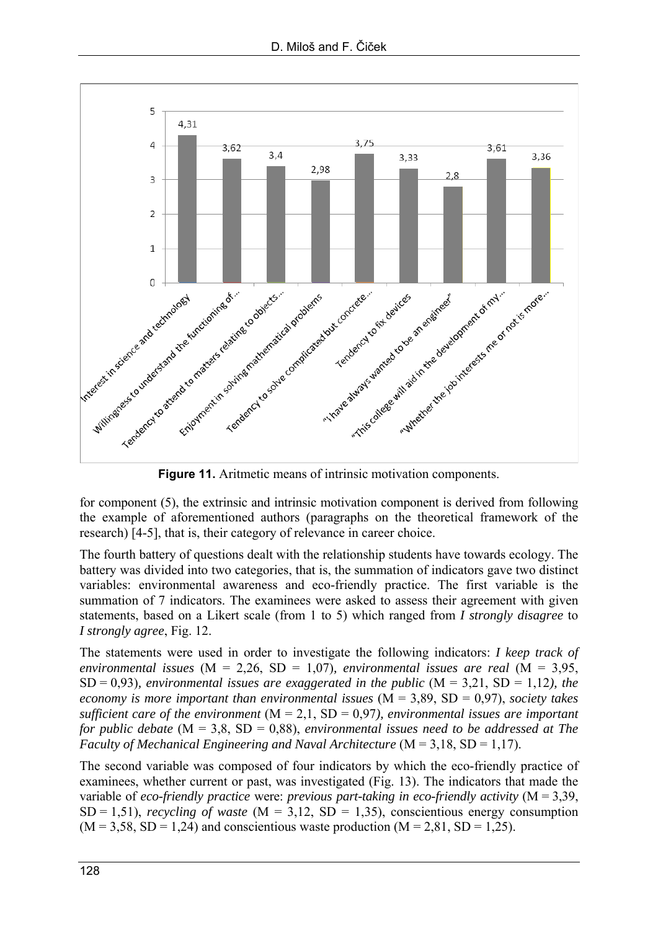

for component (5), the extrinsic and intrinsic motivation component is derived from following the example of aforementioned authors (paragraphs on the theoretical framework of the research) [4-5], that is, their category of relevance in career choice.

The fourth battery of questions dealt with the relationship students have towards ecology. The battery was divided into two categories, that is, the summation of indicators gave two distinct variables: environmental awareness and eco-friendly practice. The first variable is the summation of 7 indicators. The examinees were asked to assess their agreement with given statements, based on a Likert scale (from 1 to 5) which ranged from *I strongly disagree* to *I strongly agree*, Fig. 12.

The statements were used in order to investigate the following indicators: *I keep track of environmental issues* (M = 2,26, SD = 1,07)*, environmental issues are real* (M = 3,95, SD = 0,93)*, environmental issues are exaggerated in the public*  $(M = 3,21, SD = 1,12)$ *, the economy is more important than environmental issues* (M = 3,89, SD = 0,97), *society takes sufficient care of the environment* (M = 2,1, SD = 0,97*), environmental issues are important for public debate* (M = 3,8, SD = 0,88), *environmental issues need to be addressed at The Faculty of Mechanical Engineering and Naval Architecture* (M = 3,18, SD = 1,17).

The second variable was composed of four indicators by which the eco-friendly practice of examinees, whether current or past, was investigated (Fig. 13). The indicators that made the variable of *eco-friendly practice* were: *previous part-taking in eco-friendly activity* (M = 3,39,  $SD = 1,51$ , *recycling of waste*  $(M = 3,12, SD = 1,35)$ , conscientious energy consumption  $(M = 3,58, SD = 1,24)$  and conscientious waste production  $(M = 2,81, SD = 1,25)$ .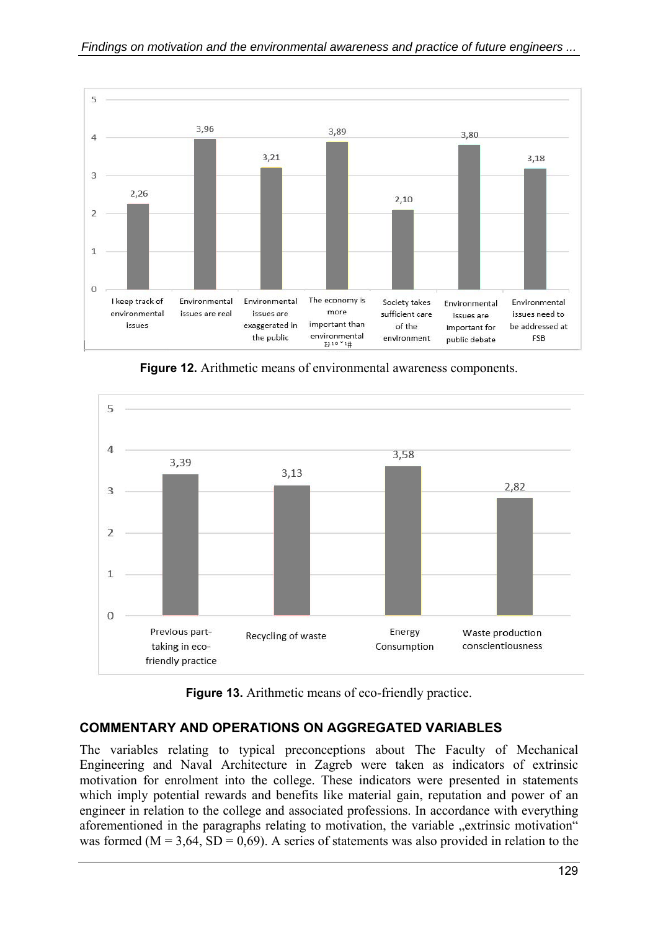

**Figure 12.** Arithmetic means of environmental awareness components.



**Figure 13.** Arithmetic means of eco-friendly practice.

#### **COMMENTARY AND OPERATIONS ON AGGREGATED VARIABLES**

The variables relating to typical preconceptions about The Faculty of Mechanical Engineering and Naval Architecture in Zagreb were taken as indicators of extrinsic motivation for enrolment into the college. These indicators were presented in statements which imply potential rewards and benefits like material gain, reputation and power of an engineer in relation to the college and associated professions. In accordance with everything aforementioned in the paragraphs relating to motivation, the variable "extrinsic motivation" was formed ( $M = 3.64$ ,  $SD = 0.69$ ). A series of statements was also provided in relation to the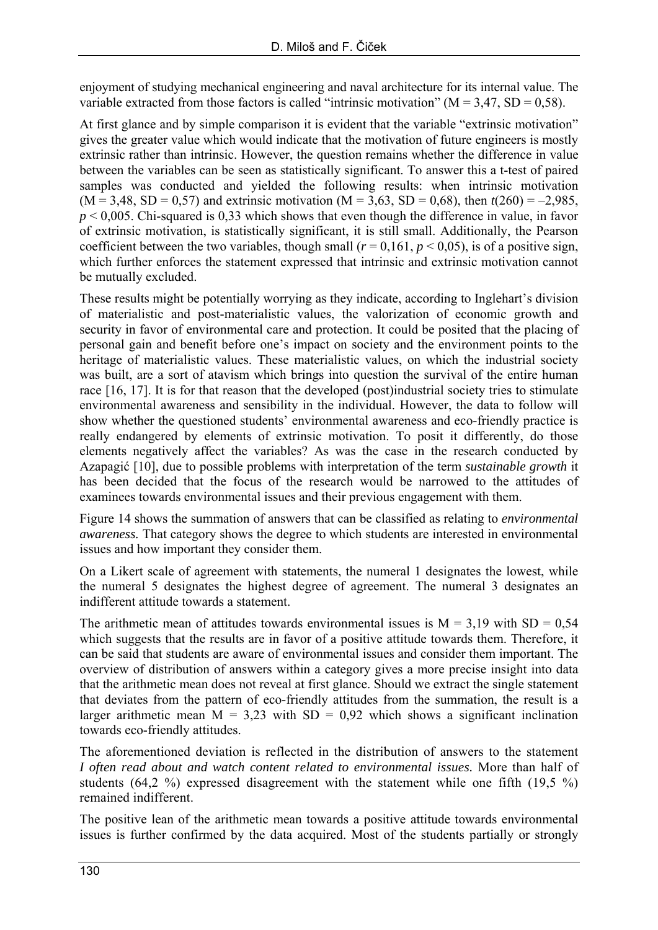enjoyment of studying mechanical engineering and naval architecture for its internal value. The variable extracted from those factors is called "intrinsic motivation" ( $M = 3,47$ ,  $SD = 0,58$ ).

At first glance and by simple comparison it is evident that the variable "extrinsic motivation" gives the greater value which would indicate that the motivation of future engineers is mostly extrinsic rather than intrinsic. However, the question remains whether the difference in value between the variables can be seen as statistically significant. To answer this a t-test of paired samples was conducted and yielded the following results: when intrinsic motivation  $(M = 3.48, SD = 0.57)$  and extrinsic motivation  $(M = 3.63, SD = 0.68)$ , then  $t(260) = -2.985$ .  $p \le 0.005$ . Chi-squared is 0.33 which shows that even though the difference in value, in favor of extrinsic motivation, is statistically significant, it is still small. Additionally, the Pearson coefficient between the two variables, though small ( $r = 0.161$ ,  $p < 0.05$ ), is of a positive sign, which further enforces the statement expressed that intrinsic and extrinsic motivation cannot be mutually excluded.

These results might be potentially worrying as they indicate, according to Inglehart's division of materialistic and post-materialistic values, the valorization of economic growth and security in favor of environmental care and protection. It could be posited that the placing of personal gain and benefit before one's impact on society and the environment points to the heritage of materialistic values. These materialistic values, on which the industrial society was built, are a sort of atavism which brings into question the survival of the entire human race [16, 17]. It is for that reason that the developed (post)industrial society tries to stimulate environmental awareness and sensibility in the individual. However, the data to follow will show whether the questioned students' environmental awareness and eco-friendly practice is really endangered by elements of extrinsic motivation. To posit it differently, do those elements negatively affect the variables? As was the case in the research conducted by Azapagić [10], due to possible problems with interpretation of the term *sustainable growth* it has been decided that the focus of the research would be narrowed to the attitudes of examinees towards environmental issues and their previous engagement with them.

Figure 14 shows the summation of answers that can be classified as relating to *environmental awareness.* That category shows the degree to which students are interested in environmental issues and how important they consider them.

On a Likert scale of agreement with statements, the numeral 1 designates the lowest, while the numeral 5 designates the highest degree of agreement. The numeral 3 designates an indifferent attitude towards a statement.

The arithmetic mean of attitudes towards environmental issues is  $M = 3.19$  with SD = 0.54 which suggests that the results are in favor of a positive attitude towards them. Therefore, it can be said that students are aware of environmental issues and consider them important. The overview of distribution of answers within a category gives a more precise insight into data that the arithmetic mean does not reveal at first glance. Should we extract the single statement that deviates from the pattern of eco-friendly attitudes from the summation, the result is a larger arithmetic mean  $M = 3.23$  with  $SD = 0.92$  which shows a significant inclination towards eco-friendly attitudes.

The aforementioned deviation is reflected in the distribution of answers to the statement *I often read about and watch content related to environmental issues.* More than half of students (64,2 %) expressed disagreement with the statement while one fifth (19,5 %) remained indifferent.

The positive lean of the arithmetic mean towards a positive attitude towards environmental issues is further confirmed by the data acquired. Most of the students partially or strongly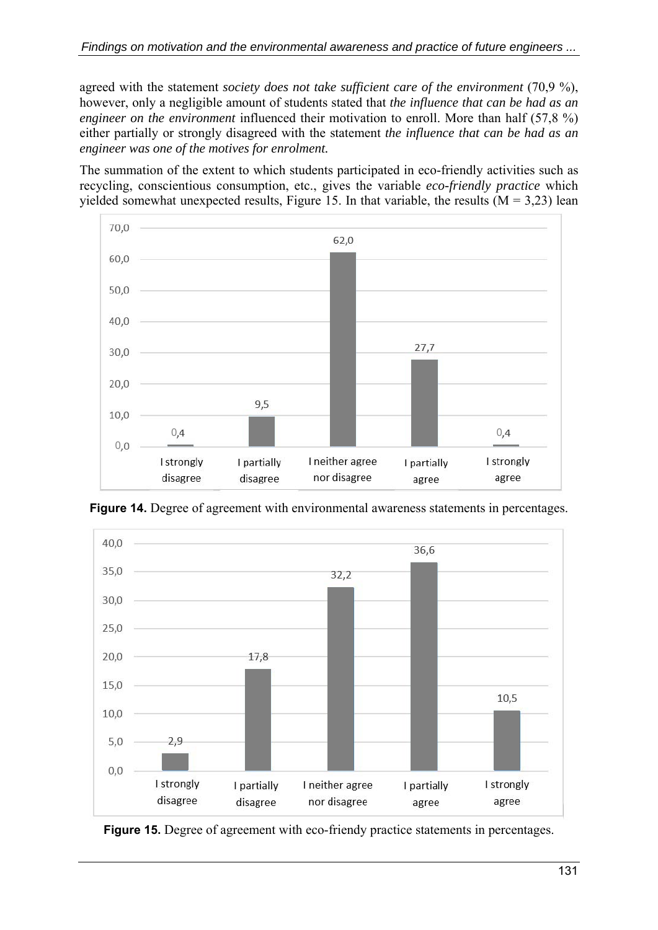agreed with the statement *society does not take sufficient care of the environment* (70,9 %), however, only a negligible amount of students stated that *the influence that can be had as an engineer on the environment* influenced their motivation to enroll. More than half (57,8 %) either partially or strongly disagreed with the statement *the influence that can be had as an engineer was one of the motives for enrolment.*

The summation of the extent to which students participated in eco-friendly activities such as recycling, conscientious consumption, etc., gives the variable *eco-friendly practice* which yielded somewhat unexpected results, Figure 15. In that variable, the results  $(M = 3,23)$  lean



**Figure 14.** Degree of agreement with environmental awareness statements in percentages.



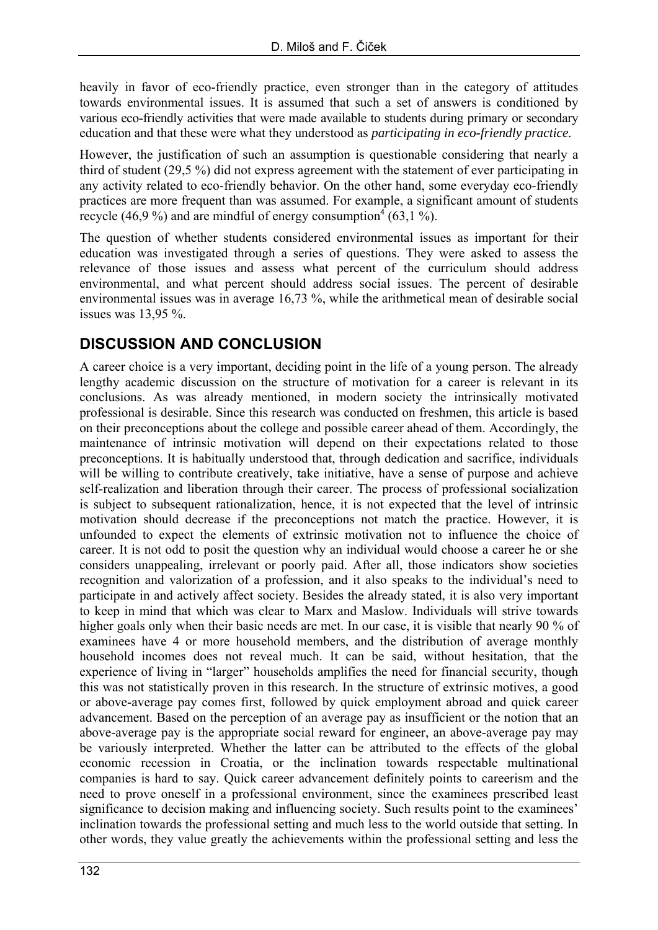heavily in favor of eco-friendly practice, even stronger than in the category of attitudes towards environmental issues. It is assumed that such a set of answers is conditioned by various eco-friendly activities that were made available to students during primary or secondary education and that these were what they understood as *participating in eco-friendly practice.* 

However, the justification of such an assumption is questionable considering that nearly a third of student (29,5 %) did not express agreement with the statement of ever participating in any activity related to eco-friendly behavior. On the other hand, some everyday eco-friendly practices are more frequent than was assumed. For example, a significant amount of students recycle  $(46.9\%)$  and are mindful of energy consumption<sup>4</sup>  $(63.1\%)$ .

The question of whether students considered environmental issues as important for their education was investigated through a series of questions. They were asked to assess the relevance of those issues and assess what percent of the curriculum should address environmental, and what percent should address social issues. The percent of desirable environmental issues was in average 16,73 %, while the arithmetical mean of desirable social issues was 13,95 %.

## **DISCUSSION AND CONCLUSION**

A career choice is a very important, deciding point in the life of a young person. The already lengthy academic discussion on the structure of motivation for a career is relevant in its conclusions. As was already mentioned, in modern society the intrinsically motivated professional is desirable. Since this research was conducted on freshmen, this article is based on their preconceptions about the college and possible career ahead of them. Accordingly, the maintenance of intrinsic motivation will depend on their expectations related to those preconceptions. It is habitually understood that, through dedication and sacrifice, individuals will be willing to contribute creatively, take initiative, have a sense of purpose and achieve self-realization and liberation through their career. The process of professional socialization is subject to subsequent rationalization, hence, it is not expected that the level of intrinsic motivation should decrease if the preconceptions not match the practice. However, it is unfounded to expect the elements of extrinsic motivation not to influence the choice of career. It is not odd to posit the question why an individual would choose a career he or she considers unappealing, irrelevant or poorly paid. After all, those indicators show societies recognition and valorization of a profession, and it also speaks to the individual's need to participate in and actively affect society. Besides the already stated, it is also very important to keep in mind that which was clear to Marx and Maslow. Individuals will strive towards higher goals only when their basic needs are met. In our case, it is visible that nearly 90 % of examinees have 4 or more household members, and the distribution of average monthly household incomes does not reveal much. It can be said, without hesitation, that the experience of living in "larger" households amplifies the need for financial security, though this was not statistically proven in this research. In the structure of extrinsic motives, a good or above-average pay comes first, followed by quick employment abroad and quick career advancement. Based on the perception of an average pay as insufficient or the notion that an above-average pay is the appropriate social reward for engineer, an above-average pay may be variously interpreted. Whether the latter can be attributed to the effects of the global economic recession in Croatia, or the inclination towards respectable multinational companies is hard to say. Quick career advancement definitely points to careerism and the need to prove oneself in a professional environment, since the examinees prescribed least significance to decision making and influencing society. Such results point to the examinees' inclination towards the professional setting and much less to the world outside that setting. In other words, they value greatly the achievements within the professional setting and less the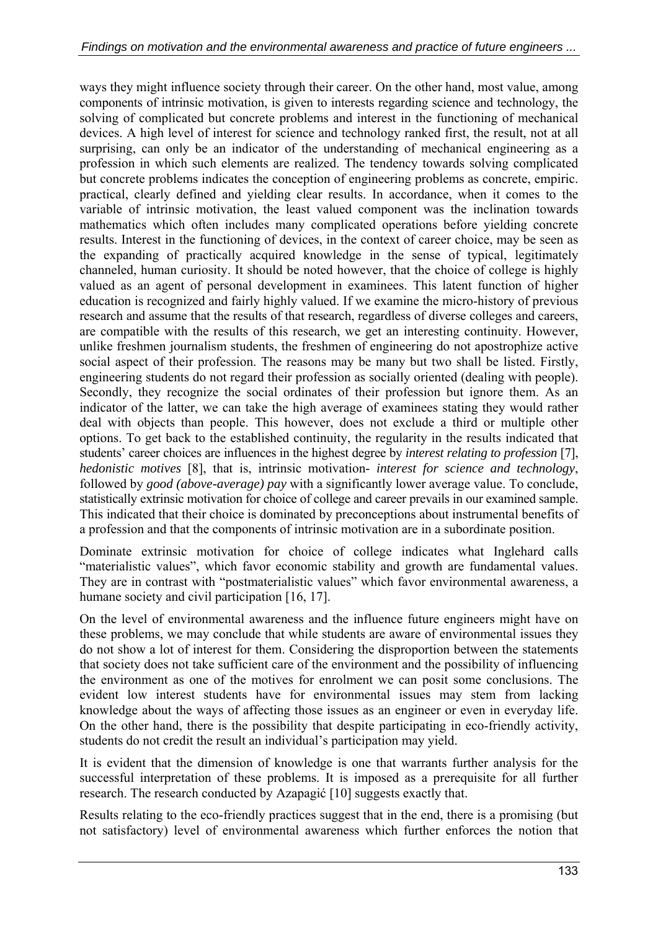ways they might influence society through their career. On the other hand, most value, among components of intrinsic motivation, is given to interests regarding science and technology, the solving of complicated but concrete problems and interest in the functioning of mechanical devices. A high level of interest for science and technology ranked first, the result, not at all surprising, can only be an indicator of the understanding of mechanical engineering as a profession in which such elements are realized. The tendency towards solving complicated but concrete problems indicates the conception of engineering problems as concrete, empiric. practical, clearly defined and yielding clear results. In accordance, when it comes to the variable of intrinsic motivation, the least valued component was the inclination towards mathematics which often includes many complicated operations before yielding concrete results. Interest in the functioning of devices, in the context of career choice, may be seen as the expanding of practically acquired knowledge in the sense of typical, legitimately channeled, human curiosity. It should be noted however, that the choice of college is highly valued as an agent of personal development in examinees. This latent function of higher education is recognized and fairly highly valued. If we examine the micro-history of previous research and assume that the results of that research, regardless of diverse colleges and careers, are compatible with the results of this research, we get an interesting continuity. However, unlike freshmen journalism students, the freshmen of engineering do not apostrophize active social aspect of their profession. The reasons may be many but two shall be listed. Firstly, engineering students do not regard their profession as socially oriented (dealing with people). Secondly, they recognize the social ordinates of their profession but ignore them. As an indicator of the latter, we can take the high average of examinees stating they would rather deal with objects than people. This however, does not exclude a third or multiple other options. To get back to the established continuity, the regularity in the results indicated that students' career choices are influences in the highest degree by *interest relating to profession* [7], *hedonistic motives* [8], that is, intrinsic motivation- *interest for science and technology*, followed by *good (above-average) pay* with a significantly lower average value. To conclude, statistically extrinsic motivation for choice of college and career prevails in our examined sample. This indicated that their choice is dominated by preconceptions about instrumental benefits of a profession and that the components of intrinsic motivation are in a subordinate position.

Dominate extrinsic motivation for choice of college indicates what Inglehard calls "materialistic values", which favor economic stability and growth are fundamental values. They are in contrast with "postmaterialistic values" which favor environmental awareness, a humane society and civil participation [16, 17].

On the level of environmental awareness and the influence future engineers might have on these problems, we may conclude that while students are aware of environmental issues they do not show a lot of interest for them. Considering the disproportion between the statements that society does not take sufficient care of the environment and the possibility of influencing the environment as one of the motives for enrolment we can posit some conclusions. The evident low interest students have for environmental issues may stem from lacking knowledge about the ways of affecting those issues as an engineer or even in everyday life. On the other hand, there is the possibility that despite participating in eco-friendly activity, students do not credit the result an individual's participation may yield.

It is evident that the dimension of knowledge is one that warrants further analysis for the successful interpretation of these problems. It is imposed as a prerequisite for all further research. The research conducted by Azapagić [10] suggests exactly that.

Results relating to the eco-friendly practices suggest that in the end, there is a promising (but not satisfactory) level of environmental awareness which further enforces the notion that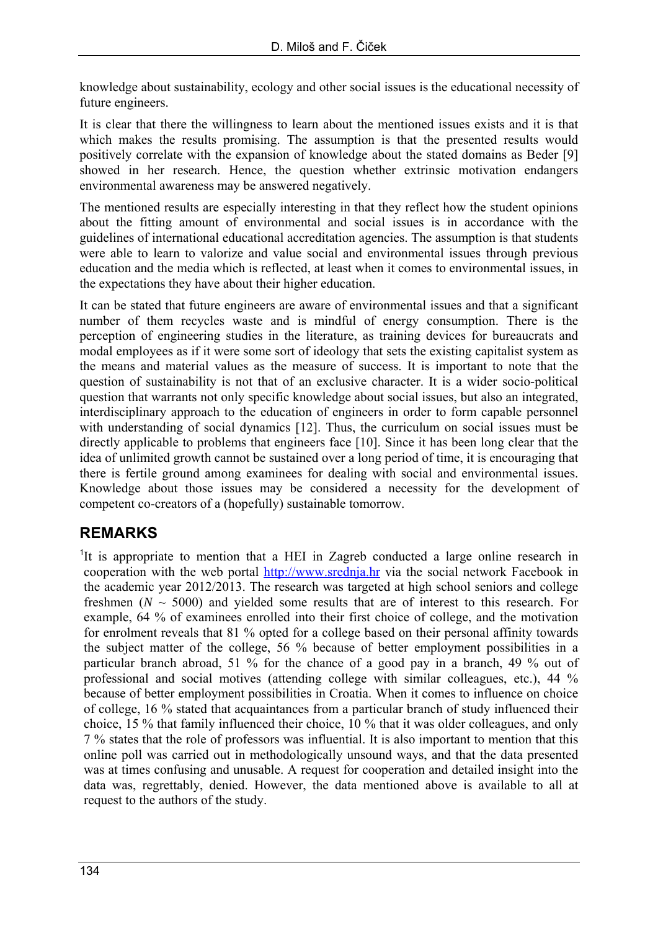knowledge about sustainability, ecology and other social issues is the educational necessity of future engineers.

It is clear that there the willingness to learn about the mentioned issues exists and it is that which makes the results promising. The assumption is that the presented results would positively correlate with the expansion of knowledge about the stated domains as Beder [9] showed in her research. Hence, the question whether extrinsic motivation endangers environmental awareness may be answered negatively.

The mentioned results are especially interesting in that they reflect how the student opinions about the fitting amount of environmental and social issues is in accordance with the guidelines of international educational accreditation agencies. The assumption is that students were able to learn to valorize and value social and environmental issues through previous education and the media which is reflected, at least when it comes to environmental issues, in the expectations they have about their higher education.

It can be stated that future engineers are aware of environmental issues and that a significant number of them recycles waste and is mindful of energy consumption. There is the perception of engineering studies in the literature, as training devices for bureaucrats and modal employees as if it were some sort of ideology that sets the existing capitalist system as the means and material values as the measure of success. It is important to note that the question of sustainability is not that of an exclusive character. It is a wider socio-political question that warrants not only specific knowledge about social issues, but also an integrated, interdisciplinary approach to the education of engineers in order to form capable personnel with understanding of social dynamics [12]. Thus, the curriculum on social issues must be directly applicable to problems that engineers face [10]. Since it has been long clear that the idea of unlimited growth cannot be sustained over a long period of time, it is encouraging that there is fertile ground among examinees for dealing with social and environmental issues. Knowledge about those issues may be considered a necessity for the development of competent co-creators of a (hopefully) sustainable tomorrow.

### **REMARKS**

<sup>1</sup>It is appropriate to mention that a HEI in Zagreb conducted a large online research in cooperation with the web portal http://www.srednja.hr via the social network Facebook in the academic year 2012/2013. The research was targeted at high school seniors and college freshmen ( $N \sim 5000$ ) and yielded some results that are of interest to this research. For example, 64 % of examinees enrolled into their first choice of college, and the motivation for enrolment reveals that 81 % opted for a college based on their personal affinity towards the subject matter of the college, 56 % because of better employment possibilities in a particular branch abroad, 51 % for the chance of a good pay in a branch, 49 % out of professional and social motives (attending college with similar colleagues, etc.), 44 % because of better employment possibilities in Croatia. When it comes to influence on choice 1 of college, 16 % stated that acquaintances from a particular branch of study influenced their 1 choice, 15 % that family influenced their choice, 10 % that it was older colleagues, and only 1 7 % states that the role of professors was influential. It is also important to mention that this 1 online poll was carried out in methodologically unsound ways, and that the data presented was at times confusing and unusable. A request for cooperation and detailed insight into the data was, regrettably, denied. However, the data mentioned above is available to all at request to the authors of the study.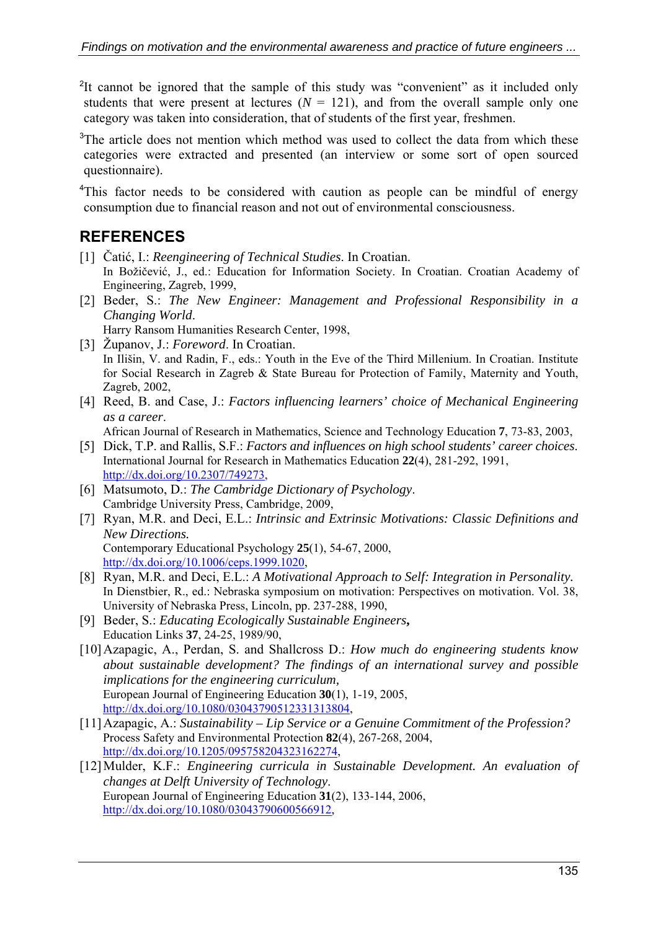<sup>2</sup>It cannot be ignored that the sample of this study was "convenient" as it included only students that were present at lectures  $(N = 121)$ , and from the overall sample only one category was taken into consideration, that of students of the first year, freshmen.

<sup>3</sup>The article does not mention which method was used to collect the data from which these 3 categories were extracted and presented (an interview or some sort of open sourced questionnaire).

<sup>4</sup>This factor needs to be considered with caution as people can be mindful of energy consumption due to financial reason and not out of environmental consciousness.

## **REFERENCES**

[1] Čatić, I.: *Reengineering of Technical Studies*. In Croatian.

In Božičević, J., ed.: Education for Information Society. In Croatian. Croatian Academy of Engineering, Zagreb, 1999,

- [2] Beder, S.: *The New Engineer: Management and Professional Responsibility in a Changing World*.
	- Harry Ransom Humanities Research Center, 1998,
- [3] Županov, J.: *Foreword*. In Croatian. In Ilišin, V. and Radin, F., eds.: Youth in the Eve of the Third Millenium. In Croatian. Institute for Social Research in Zagreb & State Bureau for Protection of Family, Maternity and Youth, Zagreb, 2002,
- [4] Reed, B. and Case, J.: *Factors influencing learners' choice of Mechanical Engineering as a career*.

African Journal of Research in Mathematics, Science and Technology Education **7**, 73-83, 2003,

- [5] Dick, T.P. and Rallis, S.F.: *Factors and influences on high school students' career choices*. International Journal for Research in Mathematics Education **22**(4), 281-292, 1991, http://dx.doi.org/10.2307/749273,
- [6] Matsumoto, D.: *The Cambridge Dictionary of Psychology*. Cambridge University Press, Cambridge, 2009,
- [7] Ryan, M.R. and Deci, E.L.: *Intrinsic and Extrinsic Motivations: Classic Definitions and New Directions.*  Contemporary Educational Psychology **25**(1), 54-67, 2000, http://dx.doi.org/10.1006/ceps.1999.1020,
- [8] Ryan, M.R. and Deci, E.L.: *A Motivational Approach to Self: Integration in Personality.* In Dienstbier, R., ed.: Nebraska symposium on motivation: Perspectives on motivation. Vol. 38, University of Nebraska Press, Lincoln, pp. 237-288, 1990,
- [9] Beder, S.: *Educating Ecologically Sustainable Engineers***,**  Education Links **37**, 24-25, 1989/90,
- [10]Azapagic, A., Perdan, S. and Shallcross D.: *How much do engineering students know about sustainable development? The findings of an international survey and possible implications for the engineering curriculum,*  European Journal of Engineering Education **30**(1), 1-19, 2005, http://dx.doi.org/10.1080/03043790512331313804,
- [11]Azapagic, A.: *Sustainability Lip Service or a Genuine Commitment of the Profession?* Process Safety and Environmental Protection **82**(4), 267-268, 2004, http://dx.doi.org/10.1205/095758204323162274,
- [12]Mulder, K.F.: *Engineering curricula in Sustainable Development. An evaluation of changes at Delft University of Technology*. European Journal of Engineering Education **31**(2), 133-144, 2006, http://dx.doi.org/10.1080/03043790600566912,